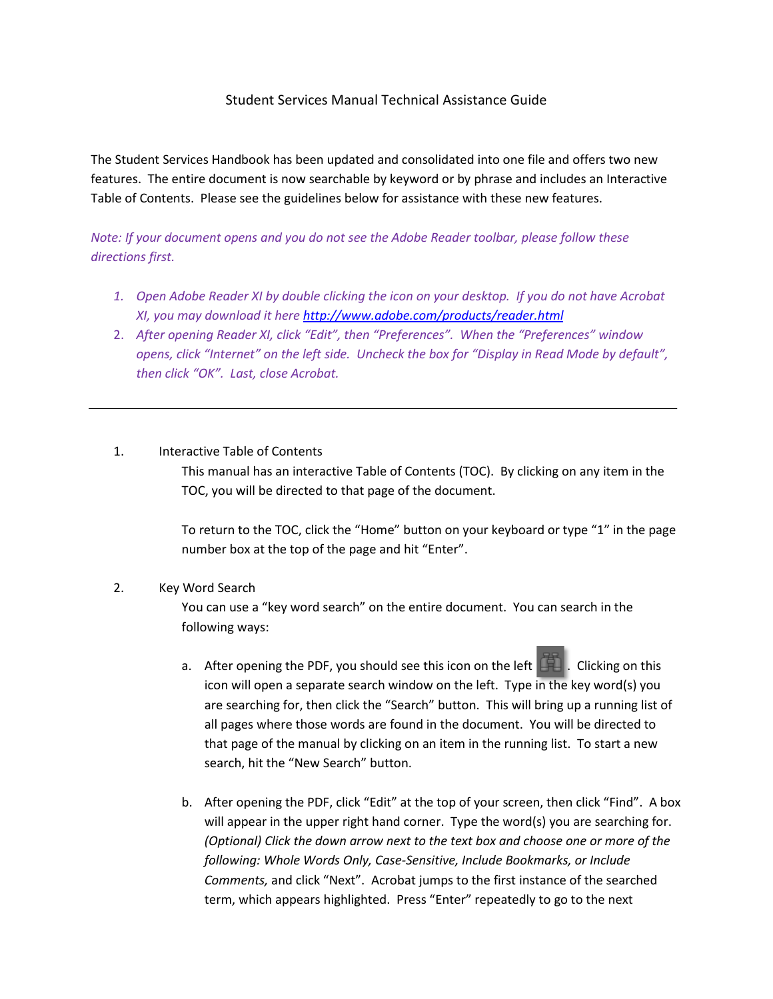## Student Services Manual Technical Assistance Guide

The Student Services Handbook has been updated and consolidated into one file and offers two new features. The entire document is now searchable by keyword or by phrase and includes an Interactive Table of Contents. Please see the guidelines below for assistance with these new features.

*Note: If your document opens and you do not see the Adobe Reader toolbar, please follow these directions first.*

- *1. Open Adobe Reader XI by double clicking the icon on your desktop. If you do not have Acrobat XI, you may download it here<http://www.adobe.com/products/reader.html>*
- 2. *After opening Reader XI, click "Edit", then "Preferences". When the "Preferences" window opens, click "Internet" on the left side. Uncheck the box for "Display in Read Mode by default", then click "OK". Last, close Acrobat.*

## 1. Interactive Table of Contents

This manual has an interactive Table of Contents (TOC). By clicking on any item in the TOC, you will be directed to that page of the document.

To return to the TOC, click the "Home" button on your keyboard or type "1" in the page number box at the top of the page and hit "Enter".

## 2. Key Word Search

You can use a "key word search" on the entire document. You can search in the following ways:

- a. After opening the PDF, you should see this icon on the left  $\Box$ . Clicking on this icon will open a separate search window on the left. Type in the key word(s) you are searching for, then click the "Search" button. This will bring up a running list of all pages where those words are found in the document. You will be directed to that page of the manual by clicking on an item in the running list. To start a new search, hit the "New Search" button.
- b. After opening the PDF, click "Edit" at the top of your screen, then click "Find". A box will appear in the upper right hand corner. Type the word(s) you are searching for. *(Optional) Click the down arrow next to the text box and choose one or more of the following: Whole Words Only, Case-Sensitive, Include Bookmarks, or Include Comments,* and click "Next". Acrobat jumps to the first instance of the searched term, which appears highlighted. Press "Enter" repeatedly to go to the next